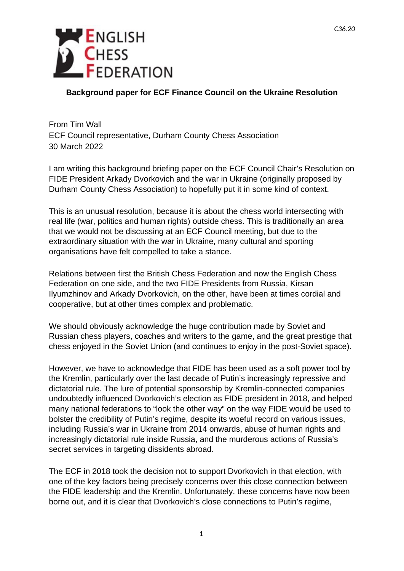

## **Background paper for ECF Finance Council on the Ukraine Resolution**

From Tim Wall ECF Council representative, Durham County Chess Association 30 March 2022

I am writing this background briefing paper on the ECF Council Chair's Resolution on FIDE President Arkady Dvorkovich and the war in Ukraine (originally proposed by Durham County Chess Association) to hopefully put it in some kind of context.

This is an unusual resolution, because it is about the chess world intersecting with real life (war, politics and human rights) outside chess. This is traditionally an area that we would not be discussing at an ECF Council meeting, but due to the extraordinary situation with the war in Ukraine, many cultural and sporting organisations have felt compelled to take a stance.

Relations between first the British Chess Federation and now the English Chess Federation on one side, and the two FIDE Presidents from Russia, Kirsan Ilyumzhinov and Arkady Dvorkovich, on the other, have been at times cordial and cooperative, but at other times complex and problematic.

We should obviously acknowledge the huge contribution made by Soviet and Russian chess players, coaches and writers to the game, and the great prestige that chess enjoyed in the Soviet Union (and continues to enjoy in the post-Soviet space).

However, we have to acknowledge that FIDE has been used as a soft power tool by the Kremlin, particularly over the last decade of Putin's increasingly repressive and dictatorial rule. The lure of potential sponsorship by Kremlin-connected companies undoubtedly influenced Dvorkovich's election as FIDE president in 2018, and helped many national federations to "look the other way" on the way FIDE would be used to bolster the credibility of Putin's regime, despite its woeful record on various issues, including Russia's war in Ukraine from 2014 onwards, abuse of human rights and increasingly dictatorial rule inside Russia, and the murderous actions of Russia's secret services in targeting dissidents abroad.

The ECF in 2018 took the decision not to support Dvorkovich in that election, with one of the key factors being precisely concerns over this close connection between the FIDE leadership and the Kremlin. Unfortunately, these concerns have now been borne out, and it is clear that Dvorkovich's close connections to Putin's regime,